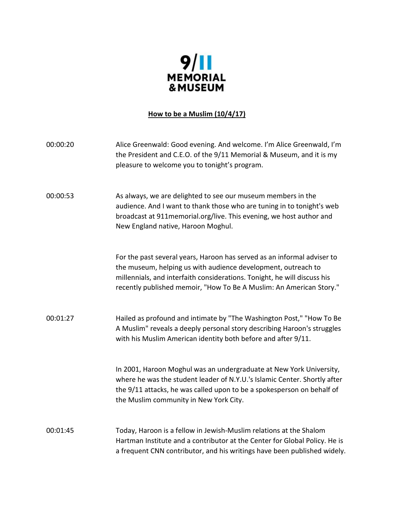

# **How to be a Muslim (10/4/17)**

| 00:00:20 | Alice Greenwald: Good evening. And welcome. I'm Alice Greenwald, I'm<br>the President and C.E.O. of the 9/11 Memorial & Museum, and it is my<br>pleasure to welcome you to tonight's program.                                                                                               |
|----------|---------------------------------------------------------------------------------------------------------------------------------------------------------------------------------------------------------------------------------------------------------------------------------------------|
| 00:00:53 | As always, we are delighted to see our museum members in the<br>audience. And I want to thank those who are tuning in to tonight's web<br>broadcast at 911 memorial.org/live. This evening, we host author and<br>New England native, Haroon Moghul.                                        |
|          | For the past several years, Haroon has served as an informal adviser to<br>the museum, helping us with audience development, outreach to<br>millennials, and interfaith considerations. Tonight, he will discuss his<br>recently published memoir, "How To Be A Muslim: An American Story." |
| 00:01:27 | Hailed as profound and intimate by "The Washington Post," "How To Be<br>A Muslim" reveals a deeply personal story describing Haroon's struggles<br>with his Muslim American identity both before and after 9/11.                                                                            |
|          | In 2001, Haroon Moghul was an undergraduate at New York University,<br>where he was the student leader of N.Y.U.'s Islamic Center. Shortly after<br>the 9/11 attacks, he was called upon to be a spokesperson on behalf of<br>the Muslim community in New York City.                        |
| 00:01:45 | Today, Haroon is a fellow in Jewish-Muslim relations at the Shalom<br>Hartman Institute and a contributor at the Center for Global Policy. He is<br>a frequent CNN contributor, and his writings have been published widely.                                                                |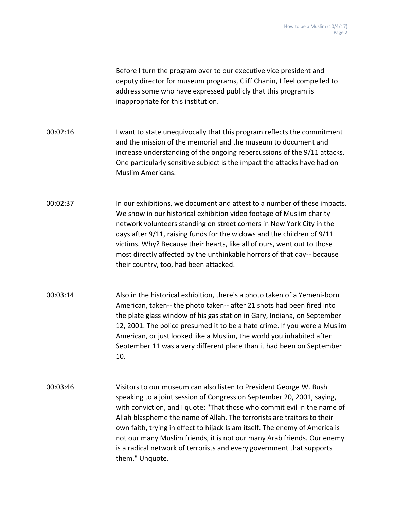Before I turn the program over to our executive vice president and deputy director for museum programs, Cliff Chanin, I feel compelled to address some who have expressed publicly that this program is inappropriate for this institution.

00:02:16 I want to state unequivocally that this program reflects the commitment and the mission of the memorial and the museum to document and increase understanding of the ongoing repercussions of the 9/11 attacks. One particularly sensitive subject is the impact the attacks have had on Muslim Americans.

00:02:37 In our exhibitions, we document and attest to a number of these impacts. We show in our historical exhibition video footage of Muslim charity network volunteers standing on street corners in New York City in the days after 9/11, raising funds for the widows and the children of 9/11 victims. Why? Because their hearts, like all of ours, went out to those most directly affected by the unthinkable horrors of that day-- because their country, too, had been attacked.

- 00:03:14 Also in the historical exhibition, there's a photo taken of a Yemeni-born American, taken-- the photo taken-- after 21 shots had been fired into the plate glass window of his gas station in Gary, Indiana, on September 12, 2001. The police presumed it to be a hate crime. If you were a Muslim American, or just looked like a Muslim, the world you inhabited after September 11 was a very different place than it had been on September 10.
- 00:03:46 Visitors to our museum can also listen to President George W. Bush speaking to a joint session of Congress on September 20, 2001, saying, with conviction, and I quote: "That those who commit evil in the name of Allah blaspheme the name of Allah. The terrorists are traitors to their own faith, trying in effect to hijack Islam itself. The enemy of America is not our many Muslim friends, it is not our many Arab friends. Our enemy is a radical network of terrorists and every government that supports them." Unquote.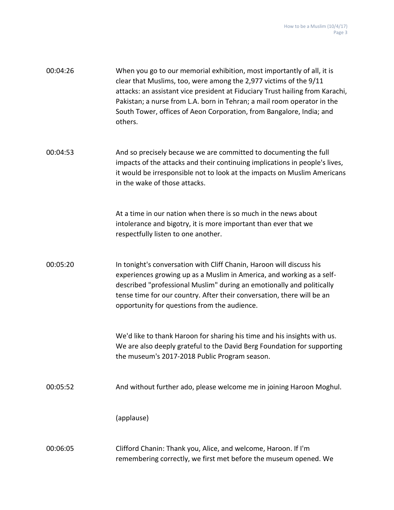| 00:04:26 | When you go to our memorial exhibition, most importantly of all, it is<br>clear that Muslims, too, were among the 2,977 victims of the 9/11<br>attacks: an assistant vice president at Fiduciary Trust hailing from Karachi,<br>Pakistan; a nurse from L.A. born in Tehran; a mail room operator in the<br>South Tower, offices of Aeon Corporation, from Bangalore, India; and<br>others. |
|----------|--------------------------------------------------------------------------------------------------------------------------------------------------------------------------------------------------------------------------------------------------------------------------------------------------------------------------------------------------------------------------------------------|
| 00:04:53 | And so precisely because we are committed to documenting the full<br>impacts of the attacks and their continuing implications in people's lives,<br>it would be irresponsible not to look at the impacts on Muslim Americans<br>in the wake of those attacks.                                                                                                                              |
|          | At a time in our nation when there is so much in the news about<br>intolerance and bigotry, it is more important than ever that we<br>respectfully listen to one another.                                                                                                                                                                                                                  |
| 00:05:20 | In tonight's conversation with Cliff Chanin, Haroon will discuss his<br>experiences growing up as a Muslim in America, and working as a self-<br>described "professional Muslim" during an emotionally and politically<br>tense time for our country. After their conversation, there will be an<br>opportunity for questions from the audience.                                           |
|          | We'd like to thank Haroon for sharing his time and his insights with us.<br>We are also deeply grateful to the David Berg Foundation for supporting<br>the museum's 2017-2018 Public Program season.                                                                                                                                                                                       |
| 00:05:52 | And without further ado, please welcome me in joining Haroon Moghul.                                                                                                                                                                                                                                                                                                                       |
|          | (applause)                                                                                                                                                                                                                                                                                                                                                                                 |
| 00:06:05 | Clifford Chanin: Thank you, Alice, and welcome, Haroon. If I'm<br>remembering correctly, we first met before the museum opened. We                                                                                                                                                                                                                                                         |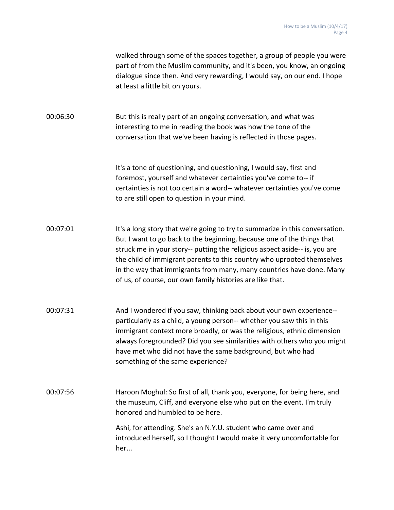walked through some of the spaces together, a group of people you were part of from the Muslim community, and it's been, you know, an ongoing dialogue since then. And very rewarding, I would say, on our end. I hope at least a little bit on yours.

00:06:30 But this is really part of an ongoing conversation, and what was interesting to me in reading the book was how the tone of the conversation that we've been having is reflected in those pages.

> It's a tone of questioning, and questioning, I would say, first and foremost, yourself and whatever certainties you've come to-- if certainties is not too certain a word-- whatever certainties you've come to are still open to question in your mind.

00:07:01 It's a long story that we're going to try to summarize in this conversation. But I want to go back to the beginning, because one of the things that struck me in your story-- putting the religious aspect aside-- is, you are the child of immigrant parents to this country who uprooted themselves in the way that immigrants from many, many countries have done. Many of us, of course, our own family histories are like that.

00:07:31 And I wondered if you saw, thinking back about your own experience- particularly as a child, a young person-- whether you saw this in this immigrant context more broadly, or was the religious, ethnic dimension always foregrounded? Did you see similarities with others who you might have met who did not have the same background, but who had something of the same experience?

00:07:56 Haroon Moghul: So first of all, thank you, everyone, for being here, and the museum, Cliff, and everyone else who put on the event. I'm truly honored and humbled to be here. Ashi, for attending. She's an N.Y.U. student who came over and introduced herself, so I thought I would make it very uncomfortable for

her...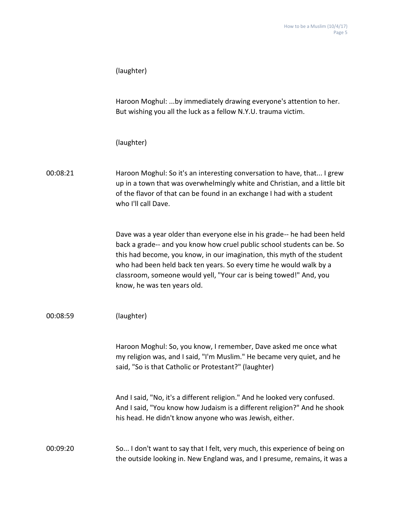| (laughter) |  |
|------------|--|
|------------|--|

Haroon Moghul: ...by immediately drawing everyone's attention to her. But wishing you all the luck as a fellow N.Y.U. trauma victim.

(laughter)

00:08:21 Haroon Moghul: So it's an interesting conversation to have, that... I grew up in a town that was overwhelmingly white and Christian, and a little bit of the flavor of that can be found in an exchange I had with a student who I'll call Dave.

> Dave was a year older than everyone else in his grade-- he had been held back a grade-- and you know how cruel public school students can be. So this had become, you know, in our imagination, this myth of the student who had been held back ten years. So every time he would walk by a classroom, someone would yell, "Your car is being towed!" And, you know, he was ten years old.

00:08:59 (laughter)

Haroon Moghul: So, you know, I remember, Dave asked me once what my religion was, and I said, "I'm Muslim." He became very quiet, and he said, "So is that Catholic or Protestant?" (laughter)

And I said, "No, it's a different religion." And he looked very confused. And I said, "You know how Judaism is a different religion?" And he shook his head. He didn't know anyone who was Jewish, either.

### 00:09:20 So... I don't want to say that I felt, very much, this experience of being on the outside looking in. New England was, and I presume, remains, it was a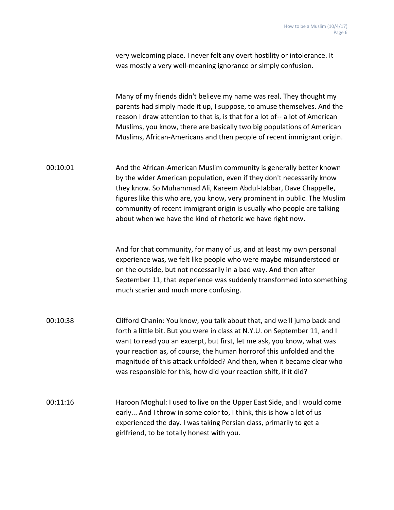|          | very welcoming place. I never felt any overt hostility or intolerance. It<br>was mostly a very well-meaning ignorance or simply confusion.                                                                                                                                                                                                                                                                                                             |
|----------|--------------------------------------------------------------------------------------------------------------------------------------------------------------------------------------------------------------------------------------------------------------------------------------------------------------------------------------------------------------------------------------------------------------------------------------------------------|
|          | Many of my friends didn't believe my name was real. They thought my<br>parents had simply made it up, I suppose, to amuse themselves. And the<br>reason I draw attention to that is, is that for a lot of-- a lot of American<br>Muslims, you know, there are basically two big populations of American<br>Muslims, African-Americans and then people of recent immigrant origin.                                                                      |
| 00:10:01 | And the African-American Muslim community is generally better known<br>by the wider American population, even if they don't necessarily know<br>they know. So Muhammad Ali, Kareem Abdul-Jabbar, Dave Chappelle,<br>figures like this who are, you know, very prominent in public. The Muslim<br>community of recent immigrant origin is usually who people are talking<br>about when we have the kind of rhetoric we have right now.                  |
|          | And for that community, for many of us, and at least my own personal<br>experience was, we felt like people who were maybe misunderstood or<br>on the outside, but not necessarily in a bad way. And then after<br>September 11, that experience was suddenly transformed into something<br>much scarier and much more confusing.                                                                                                                      |
| 00:10:38 | Clifford Chanin: You know, you talk about that, and we'll jump back and<br>forth a little bit. But you were in class at N.Y.U. on September 11, and I<br>want to read you an excerpt, but first, let me ask, you know, what was<br>your reaction as, of course, the human horrorof this unfolded and the<br>magnitude of this attack unfolded? And then, when it became clear who<br>was responsible for this, how did your reaction shift, if it did? |
| 00:11:16 | Haroon Moghul: I used to live on the Upper East Side, and I would come<br>early And I throw in some color to, I think, this is how a lot of us<br>experienced the day. I was taking Persian class, primarily to get a<br>girlfriend, to be totally honest with you.                                                                                                                                                                                    |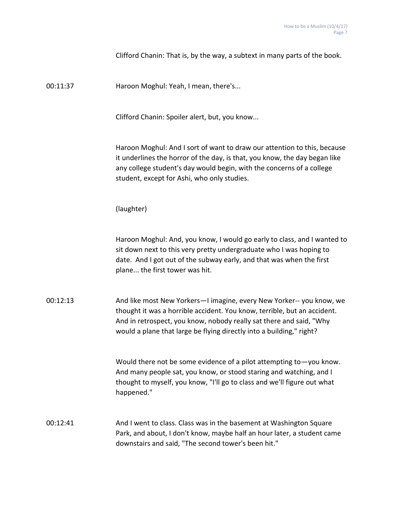Clifford Chanin: That is, by the way, a subtext in many parts of the book.

00:11:37 Haroon Moghul: Yeah, I mean, there's...

Clifford Chanin: Spoiler alert, but, you know...

Haroon Moghul: And I sort of want to draw our attention to this, because it underlines the horror of the day, is that, you know, the day began like any college student's day would begin, with the concerns of a college student, except for Ashi, who only studies.

(laughter)

Haroon Moghul: And, you know, I would go early to class, and I wanted to sit down next to this very pretty undergraduate who I was hoping to date. And I got out of the subway early, and that was when the first plane... the first tower was hit.

00:12:13 And like most New Yorkers—I imagine, every New Yorker-- you know, we thought it was a horrible accident. You know, terrible, but an accident. And in retrospect, you know, nobody really sat there and said, "Why would a plane that large be flying directly into a building," right?

> Would there not be some evidence of a pilot attempting to—you know. And many people sat, you know, or stood staring and watching, and I thought to myself, you know, "I'll go to class and we'll figure out what happened."

00:12:41 And I went to class. Class was in the basement at Washington Square Park, and about, I don't know, maybe half an hour later, a student came downstairs and said, "The second tower's been hit."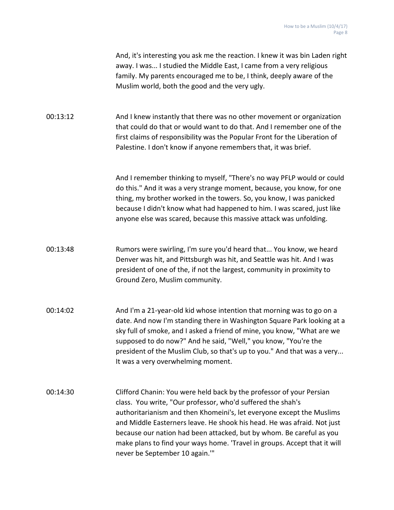|          | And, it's interesting you ask me the reaction. I knew it was bin Laden right<br>away. I was I studied the Middle East, I came from a very religious<br>family. My parents encouraged me to be, I think, deeply aware of the<br>Muslim world, both the good and the very ugly.                                                                                                                                                                                                  |
|----------|--------------------------------------------------------------------------------------------------------------------------------------------------------------------------------------------------------------------------------------------------------------------------------------------------------------------------------------------------------------------------------------------------------------------------------------------------------------------------------|
| 00:13:12 | And I knew instantly that there was no other movement or organization<br>that could do that or would want to do that. And I remember one of the<br>first claims of responsibility was the Popular Front for the Liberation of<br>Palestine. I don't know if anyone remembers that, it was brief.                                                                                                                                                                               |
|          | And I remember thinking to myself, "There's no way PFLP would or could<br>do this." And it was a very strange moment, because, you know, for one<br>thing, my brother worked in the towers. So, you know, I was panicked<br>because I didn't know what had happened to him. I was scared, just like<br>anyone else was scared, because this massive attack was unfolding.                                                                                                      |
| 00:13:48 | Rumors were swirling, I'm sure you'd heard that You know, we heard<br>Denver was hit, and Pittsburgh was hit, and Seattle was hit. And I was<br>president of one of the, if not the largest, community in proximity to<br>Ground Zero, Muslim community.                                                                                                                                                                                                                       |
| 00:14:02 | And I'm a 21-year-old kid whose intention that morning was to go on a<br>date. And now I'm standing there in Washington Square Park looking at a<br>sky full of smoke, and I asked a friend of mine, you know, "What are we<br>supposed to do now?" And he said, "Well," you know, "You're the<br>president of the Muslim Club, so that's up to you." And that was a very<br>It was a very overwhelming moment.                                                                |
| 00:14:30 | Clifford Chanin: You were held back by the professor of your Persian<br>class. You write, "Our professor, who'd suffered the shah's<br>authoritarianism and then Khomeini's, let everyone except the Muslims<br>and Middle Easterners leave. He shook his head. He was afraid. Not just<br>because our nation had been attacked, but by whom. Be careful as you<br>make plans to find your ways home. 'Travel in groups. Accept that it will<br>never be September 10 again."" |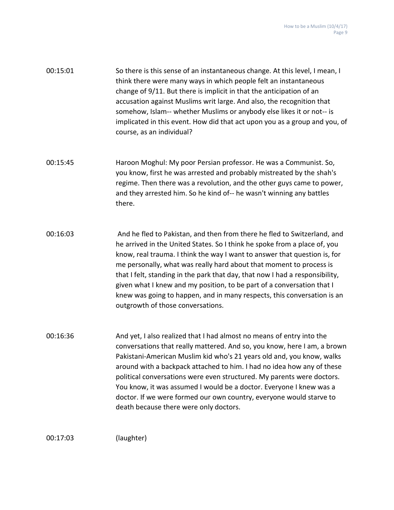| 00:15:01 | So there is this sense of an instantaneous change. At this level, I mean, I<br>think there were many ways in which people felt an instantaneous<br>change of 9/11. But there is implicit in that the anticipation of an<br>accusation against Muslims writ large. And also, the recognition that<br>somehow, Islam-- whether Muslims or anybody else likes it or not-- is<br>implicated in this event. How did that act upon you as a group and you, of<br>course, as an individual? |
|----------|--------------------------------------------------------------------------------------------------------------------------------------------------------------------------------------------------------------------------------------------------------------------------------------------------------------------------------------------------------------------------------------------------------------------------------------------------------------------------------------|
| 00:15:45 | Haroon Moghul: My poor Persian professor. He was a Communist. So,<br>you know, first he was arrested and probably mistreated by the shah's<br>regime. Then there was a revolution, and the other guys came to power,<br>and they arrested him. So he kind of-- he wasn't winning any battles<br>there.                                                                                                                                                                               |
| 00:16:03 | And he fled to Pakistan, and then from there he fled to Switzerland, and                                                                                                                                                                                                                                                                                                                                                                                                             |

he arrived in the United States. So I think he spoke from a place of, you know, real trauma. I think the way I want to answer that question is, for me personally, what was really hard about that moment to process is that I felt, standing in the park that day, that now I had a responsibility, given what I knew and my position, to be part of a conversation that I knew was going to happen, and in many respects, this conversation is an outgrowth of those conversations.

00:16:36 And yet, I also realized that I had almost no means of entry into the conversations that really mattered. And so, you know, here I am, a brown Pakistani-American Muslim kid who's 21 years old and, you know, walks around with a backpack attached to him. I had no idea how any of these political conversations were even structured. My parents were doctors. You know, it was assumed I would be a doctor. Everyone I knew was a doctor. If we were formed our own country, everyone would starve to death because there were only doctors.

00:17:03 (laughter)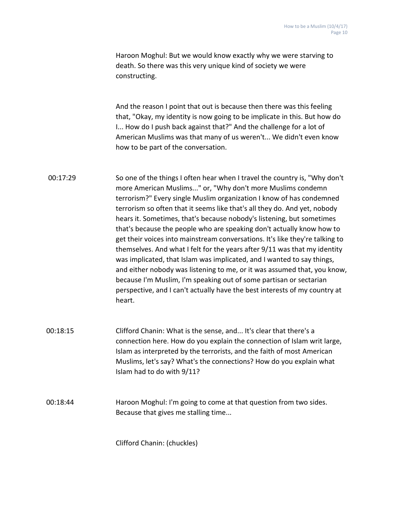Haroon Moghul: But we would know exactly why we were starving to death. So there was this very unique kind of society we were constructing.

And the reason I point that out is because then there was this feeling that, "Okay, my identity is now going to be implicate in this. But how do I... How do I push back against that?" And the challenge for a lot of American Muslims was that many of us weren't... We didn't even know how to be part of the conversation.

- 00:17:29 So one of the things I often hear when I travel the country is, "Why don't more American Muslims..." or, "Why don't more Muslims condemn terrorism?" Every single Muslim organization I know of has condemned terrorism so often that it seems like that's all they do. And yet, nobody hears it. Sometimes, that's because nobody's listening, but sometimes that's because the people who are speaking don't actually know how to get their voices into mainstream conversations. It's like they're talking to themselves. And what I felt for the years after 9/11 was that my identity was implicated, that Islam was implicated, and I wanted to say things, and either nobody was listening to me, or it was assumed that, you know, because I'm Muslim, I'm speaking out of some partisan or sectarian perspective, and I can't actually have the best interests of my country at heart.
- 00:18:15 Clifford Chanin: What is the sense, and... It's clear that there's a connection here. How do you explain the connection of Islam writ large, Islam as interpreted by the terrorists, and the faith of most American Muslims, let's say? What's the connections? How do you explain what Islam had to do with 9/11?

00:18:44 Haroon Moghul: I'm going to come at that question from two sides. Because that gives me stalling time...

Clifford Chanin: (chuckles)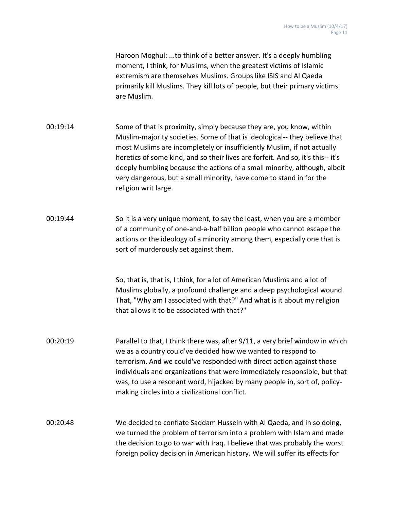Haroon Moghul: ...to think of a better answer. It's a deeply humbling moment, I think, for Muslims, when the greatest victims of Islamic extremism are themselves Muslims. Groups like ISIS and Al Qaeda primarily kill Muslims. They kill lots of people, but their primary victims are Muslim.

00:19:14 Some of that is proximity, simply because they are, you know, within Muslim-majority societies. Some of that is ideological-- they believe that most Muslims are incompletely or insufficiently Muslim, if not actually heretics of some kind, and so their lives are forfeit. And so, it's this-- it's deeply humbling because the actions of a small minority, although, albeit very dangerous, but a small minority, have come to stand in for the religion writ large.

00:19:44 So it is a very unique moment, to say the least, when you are a member of a community of one-and-a-half billion people who cannot escape the actions or the ideology of a minority among them, especially one that is sort of murderously set against them.

> So, that is, that is, I think, for a lot of American Muslims and a lot of Muslims globally, a profound challenge and a deep psychological wound. That, "Why am I associated with that?" And what is it about my religion that allows it to be associated with that?"

00:20:19 Parallel to that, I think there was, after 9/11, a very brief window in which we as a country could've decided how we wanted to respond to terrorism. And we could've responded with direct action against those individuals and organizations that were immediately responsible, but that was, to use a resonant word, hijacked by many people in, sort of, policymaking circles into a civilizational conflict.

00:20:48 We decided to conflate Saddam Hussein with Al Qaeda, and in so doing, we turned the problem of terrorism into a problem with Islam and made the decision to go to war with Iraq. I believe that was probably the worst foreign policy decision in American history. We will suffer its effects for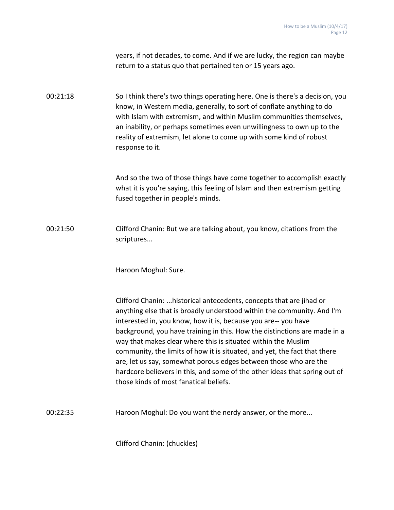years, if not decades, to come. And if we are lucky, the region can maybe return to a status quo that pertained ten or 15 years ago.

00:21:18 So I think there's two things operating here. One is there's a decision, you know, in Western media, generally, to sort of conflate anything to do with Islam with extremism, and within Muslim communities themselves, an inability, or perhaps sometimes even unwillingness to own up to the reality of extremism, let alone to come up with some kind of robust response to it.

> And so the two of those things have come together to accomplish exactly what it is you're saying, this feeling of Islam and then extremism getting fused together in people's minds.

00:21:50 Clifford Chanin: But we are talking about, you know, citations from the scriptures...

Haroon Moghul: Sure.

Clifford Chanin: ...historical antecedents, concepts that are jihad or anything else that is broadly understood within the community. And I'm interested in, you know, how it is, because you are-- you have background, you have training in this. How the distinctions are made in a way that makes clear where this is situated within the Muslim community, the limits of how it is situated, and yet, the fact that there are, let us say, somewhat porous edges between those who are the hardcore believers in this, and some of the other ideas that spring out of those kinds of most fanatical beliefs.

00:22:35 Haroon Moghul: Do you want the nerdy answer, or the more...

Clifford Chanin: (chuckles)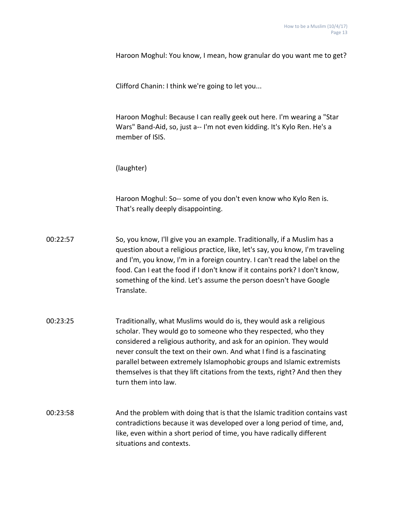Haroon Moghul: You know, I mean, how granular do you want me to get?

Clifford Chanin: I think we're going to let you...

Haroon Moghul: Because I can really geek out here. I'm wearing a "Star Wars" Band-Aid, so, just a-- I'm not even kidding. It's Kylo Ren. He's a member of ISIS.

(laughter)

Haroon Moghul: So-- some of you don't even know who Kylo Ren is. That's really deeply disappointing.

- 00:22:57 So, you know, I'll give you an example. Traditionally, if a Muslim has a question about a religious practice, like, let's say, you know, I'm traveling and I'm, you know, I'm in a foreign country. I can't read the label on the food. Can I eat the food if I don't know if it contains pork? I don't know, something of the kind. Let's assume the person doesn't have Google Translate.
- 00:23:25 Traditionally, what Muslims would do is, they would ask a religious scholar. They would go to someone who they respected, who they considered a religious authority, and ask for an opinion. They would never consult the text on their own. And what I find is a fascinating parallel between extremely Islamophobic groups and Islamic extremists themselves is that they lift citations from the texts, right? And then they turn them into law.
- 00:23:58 And the problem with doing that is that the Islamic tradition contains vast contradictions because it was developed over a long period of time, and, like, even within a short period of time, you have radically different situations and contexts.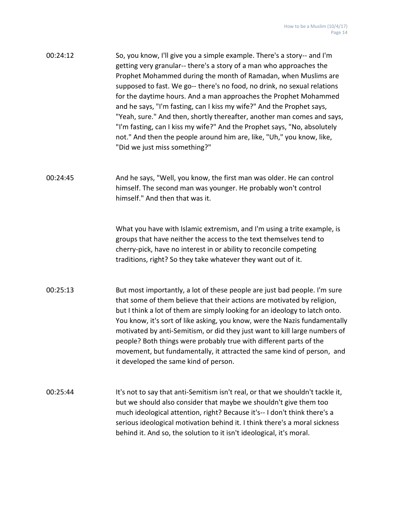| 00:24:12 | So, you know, I'll give you a simple example. There's a story-- and I'm<br>getting very granular-- there's a story of a man who approaches the<br>Prophet Mohammed during the month of Ramadan, when Muslims are<br>supposed to fast. We go-- there's no food, no drink, no sexual relations<br>for the daytime hours. And a man approaches the Prophet Mohammed<br>and he says, "I'm fasting, can I kiss my wife?" And the Prophet says,<br>"Yeah, sure." And then, shortly thereafter, another man comes and says,<br>"I'm fasting, can I kiss my wife?" And the Prophet says, "No, absolutely<br>not." And then the people around him are, like, "Uh," you know, like,<br>"Did we just miss something?" |
|----------|------------------------------------------------------------------------------------------------------------------------------------------------------------------------------------------------------------------------------------------------------------------------------------------------------------------------------------------------------------------------------------------------------------------------------------------------------------------------------------------------------------------------------------------------------------------------------------------------------------------------------------------------------------------------------------------------------------|
| 00:24:45 | And he says, "Well, you know, the first man was older. He can control<br>himself. The second man was younger. He probably won't control<br>himself." And then that was it.                                                                                                                                                                                                                                                                                                                                                                                                                                                                                                                                 |
|          | What you have with Islamic extremism, and I'm using a trite example, is<br>groups that have neither the access to the text themselves tend to<br>cherry-pick, have no interest in or ability to reconcile competing<br>traditions, right? So they take whatever they want out of it.                                                                                                                                                                                                                                                                                                                                                                                                                       |
| 00:25:13 | But most importantly, a lot of these people are just bad people. I'm sure<br>that some of them believe that their actions are motivated by religion,<br>but I think a lot of them are simply looking for an ideology to latch onto.<br>You know, it's sort of like asking, you know, were the Nazis fundamentally<br>motivated by anti-Semitism, or did they just want to kill large numbers of<br>people? Both things were probably true with different parts of the<br>movement, but fundamentally, it attracted the same kind of person, and<br>it developed the same kind of person.                                                                                                                   |
| 00:25:44 | It's not to say that anti-Semitism isn't real, or that we shouldn't tackle it,<br>but we should also consider that maybe we shouldn't give them too<br>much ideological attention, right? Because it's-- I don't think there's a<br>serious ideological motivation behind it. I think there's a moral sickness<br>behind it. And so, the solution to it isn't ideological, it's moral.                                                                                                                                                                                                                                                                                                                     |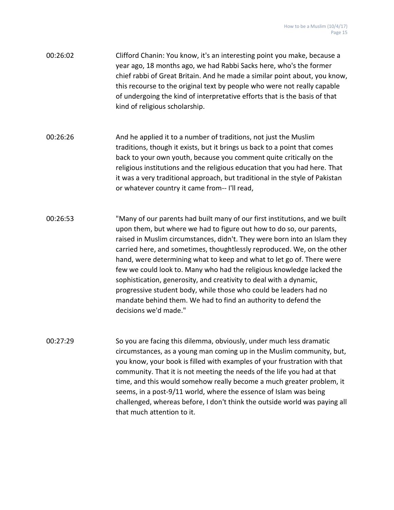- 00:26:02 Clifford Chanin: You know, it's an interesting point you make, because a year ago, 18 months ago, we had Rabbi Sacks here, who's the former chief rabbi of Great Britain. And he made a similar point about, you know, this recourse to the original text by people who were not really capable of undergoing the kind of interpretative efforts that is the basis of that kind of religious scholarship.
- 00:26:26 And he applied it to a number of traditions, not just the Muslim traditions, though it exists, but it brings us back to a point that comes back to your own youth, because you comment quite critically on the religious institutions and the religious education that you had here. That it was a very traditional approach, but traditional in the style of Pakistan or whatever country it came from-- I'll read,
- 00:26:53 "Many of our parents had built many of our first institutions, and we built upon them, but where we had to figure out how to do so, our parents, raised in Muslim circumstances, didn't. They were born into an Islam they carried here, and sometimes, thoughtlessly reproduced. We, on the other hand, were determining what to keep and what to let go of. There were few we could look to. Many who had the religious knowledge lacked the sophistication, generosity, and creativity to deal with a dynamic, progressive student body, while those who could be leaders had no mandate behind them. We had to find an authority to defend the decisions we'd made."
- 00:27:29 So you are facing this dilemma, obviously, under much less dramatic circumstances, as a young man coming up in the Muslim community, but, you know, your book is filled with examples of your frustration with that community. That it is not meeting the needs of the life you had at that time, and this would somehow really become a much greater problem, it seems, in a post-9/11 world, where the essence of Islam was being challenged, whereas before, I don't think the outside world was paying all that much attention to it.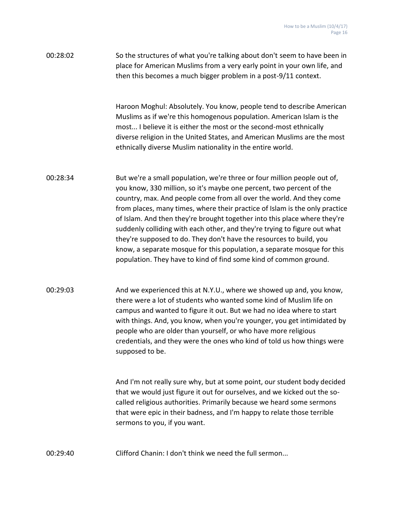00:28:02 So the structures of what you're talking about don't seem to have been in place for American Muslims from a very early point in your own life, and then this becomes a much bigger problem in a post-9/11 context.

> Haroon Moghul: Absolutely. You know, people tend to describe American Muslims as if we're this homogenous population. American Islam is the most... I believe it is either the most or the second-most ethnically diverse religion in the United States, and American Muslims are the most ethnically diverse Muslim nationality in the entire world.

- 00:28:34 But we're a small population, we're three or four million people out of, you know, 330 million, so it's maybe one percent, two percent of the country, max. And people come from all over the world. And they come from places, many times, where their practice of Islam is the only practice of Islam. And then they're brought together into this place where they're suddenly colliding with each other, and they're trying to figure out what they're supposed to do. They don't have the resources to build, you know, a separate mosque for this population, a separate mosque for this population. They have to kind of find some kind of common ground.
- 00:29:03 And we experienced this at N.Y.U., where we showed up and, you know, there were a lot of students who wanted some kind of Muslim life on campus and wanted to figure it out. But we had no idea where to start with things. And, you know, when you're younger, you get intimidated by people who are older than yourself, or who have more religious credentials, and they were the ones who kind of told us how things were supposed to be.

And I'm not really sure why, but at some point, our student body decided that we would just figure it out for ourselves, and we kicked out the socalled religious authorities. Primarily because we heard some sermons that were epic in their badness, and I'm happy to relate those terrible sermons to you, if you want.

00:29:40 Clifford Chanin: I don't think we need the full sermon...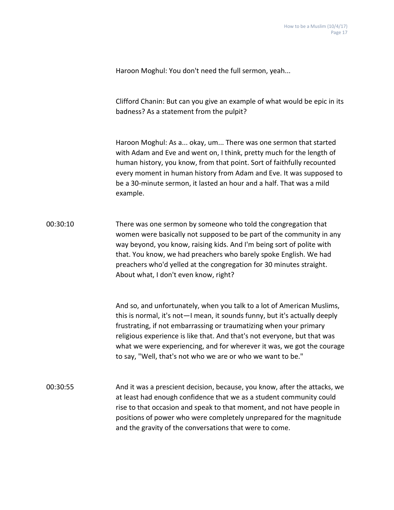Haroon Moghul: You don't need the full sermon, yeah...

Clifford Chanin: But can you give an example of what would be epic in its badness? As a statement from the pulpit?

Haroon Moghul: As a... okay, um... There was one sermon that started with Adam and Eve and went on, I think, pretty much for the length of human history, you know, from that point. Sort of faithfully recounted every moment in human history from Adam and Eve. It was supposed to be a 30-minute sermon, it lasted an hour and a half. That was a mild example.

00:30:10 There was one sermon by someone who told the congregation that women were basically not supposed to be part of the community in any way beyond, you know, raising kids. And I'm being sort of polite with that. You know, we had preachers who barely spoke English. We had preachers who'd yelled at the congregation for 30 minutes straight. About what, I don't even know, right?

> And so, and unfortunately, when you talk to a lot of American Muslims, this is normal, it's not—I mean, it sounds funny, but it's actually deeply frustrating, if not embarrassing or traumatizing when your primary religious experience is like that. And that's not everyone, but that was what we were experiencing, and for wherever it was, we got the courage to say, "Well, that's not who we are or who we want to be."

00:30:55 And it was a prescient decision, because, you know, after the attacks, we at least had enough confidence that we as a student community could rise to that occasion and speak to that moment, and not have people in positions of power who were completely unprepared for the magnitude and the gravity of the conversations that were to come.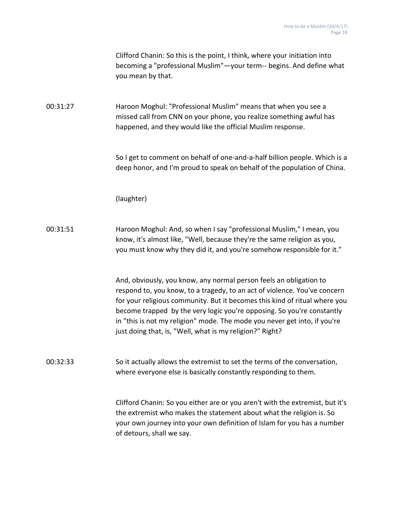|          | Clifford Chanin: So this is the point, I think, where your initiation into<br>becoming a "professional Muslim"-your term-- begins. And define what<br>you mean by that.                                                                                                                                                                                                                                                                          |
|----------|--------------------------------------------------------------------------------------------------------------------------------------------------------------------------------------------------------------------------------------------------------------------------------------------------------------------------------------------------------------------------------------------------------------------------------------------------|
| 00:31:27 | Haroon Moghul: "Professional Muslim" means that when you see a<br>missed call from CNN on your phone, you realize something awful has<br>happened, and they would like the official Muslim response.                                                                                                                                                                                                                                             |
|          | So I get to comment on behalf of one-and-a-half billion people. Which is a<br>deep honor, and I'm proud to speak on behalf of the population of China.                                                                                                                                                                                                                                                                                           |
|          | (laughter)                                                                                                                                                                                                                                                                                                                                                                                                                                       |
| 00:31:51 | Haroon Moghul: And, so when I say "professional Muslim," I mean, you<br>know, it's almost like, "Well, because they're the same religion as you,<br>you must know why they did it, and you're somehow responsible for it."                                                                                                                                                                                                                       |
|          | And, obviously, you know, any normal person feels an obligation to<br>respond to, you know, to a tragedy, to an act of violence. You've concern<br>for your religious community. But it becomes this kind of ritual where you<br>become trapped by the very logic you're opposing. So you're constantly<br>in "this is not my religion" mode. The mode you never get into, if you're<br>just doing that, is, "Well, what is my religion?" Right? |
| 00:32:33 | So it actually allows the extremist to set the terms of the conversation,<br>where everyone else is basically constantly responding to them.                                                                                                                                                                                                                                                                                                     |
|          | Clifford Chanin: So you either are or you aren't with the extremist, but it's<br>the extremist who makes the statement about what the religion is. So<br>your own journey into your own definition of Islam for you has a number<br>of detours, shall we say.                                                                                                                                                                                    |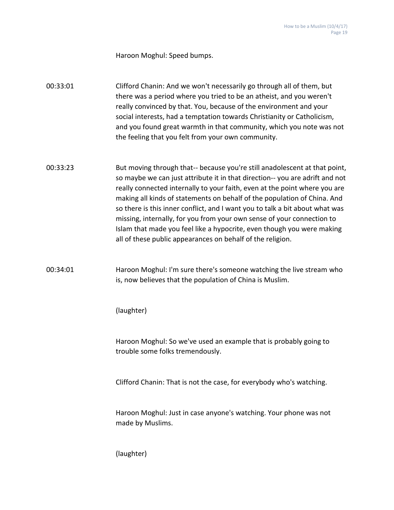Haroon Moghul: Speed bumps.

00:33:01 Clifford Chanin: And we won't necessarily go through all of them, but there was a period where you tried to be an atheist, and you weren't really convinced by that. You, because of the environment and your social interests, had a temptation towards Christianity or Catholicism, and you found great warmth in that community, which you note was not the feeling that you felt from your own community.

00:33:23 But moving through that-- because you're still anadolescent at that point, so maybe we can just attribute it in that direction-- you are adrift and not really connected internally to your faith, even at the point where you are making all kinds of statements on behalf of the population of China. And so there is this inner conflict, and I want you to talk a bit about what was missing, internally, for you from your own sense of your connection to Islam that made you feel like a hypocrite, even though you were making all of these public appearances on behalf of the religion.

## 00:34:01 Haroon Moghul: I'm sure there's someone watching the live stream who is, now believes that the population of China is Muslim.

(laughter)

Haroon Moghul: So we've used an example that is probably going to trouble some folks tremendously.

Clifford Chanin: That is not the case, for everybody who's watching.

Haroon Moghul: Just in case anyone's watching. Your phone was not made by Muslims.

(laughter)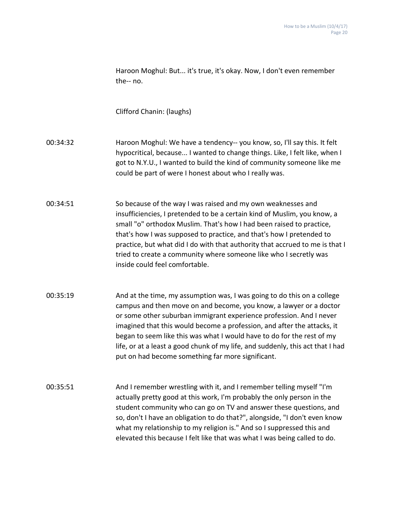|          | Haroon Moghul: But it's true, it's okay. Now, I don't even remember<br>the-- no.                                                                                                                                                                                                                                                                                                                                                                                                                                 |
|----------|------------------------------------------------------------------------------------------------------------------------------------------------------------------------------------------------------------------------------------------------------------------------------------------------------------------------------------------------------------------------------------------------------------------------------------------------------------------------------------------------------------------|
|          | Clifford Chanin: (laughs)                                                                                                                                                                                                                                                                                                                                                                                                                                                                                        |
| 00:34:32 | Haroon Moghul: We have a tendency-- you know, so, I'll say this. It felt<br>hypocritical, because I wanted to change things. Like, I felt like, when I<br>got to N.Y.U., I wanted to build the kind of community someone like me<br>could be part of were I honest about who I really was.                                                                                                                                                                                                                       |
| 00:34:51 | So because of the way I was raised and my own weaknesses and<br>insufficiencies, I pretended to be a certain kind of Muslim, you know, a<br>small "o" orthodox Muslim. That's how I had been raised to practice,<br>that's how I was supposed to practice, and that's how I pretended to<br>practice, but what did I do with that authority that accrued to me is that I<br>tried to create a community where someone like who I secretly was<br>inside could feel comfortable.                                  |
| 00:35:19 | And at the time, my assumption was, I was going to do this on a college<br>campus and then move on and become, you know, a lawyer or a doctor<br>or some other suburban immigrant experience profession. And I never<br>imagined that this would become a profession, and after the attacks, it<br>began to seem like this was what I would have to do for the rest of my<br>life, or at a least a good chunk of my life, and suddenly, this act that I had<br>put on had become something far more significant. |
| 00:35:51 | And I remember wrestling with it, and I remember telling myself "I'm<br>actually pretty good at this work, I'm probably the only person in the<br>student community who can go on TV and answer these questions, and<br>so, don't I have an obligation to do that?", alongside, "I don't even know<br>what my relationship to my religion is." And so I suppressed this and<br>elevated this because I felt like that was what I was being called to do.                                                         |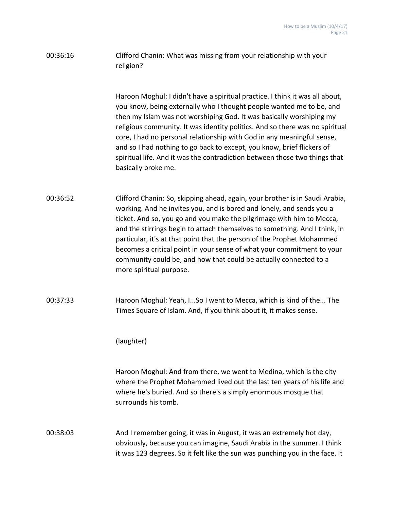## 00:36:16 Clifford Chanin: What was missing from your relationship with your religion?

Haroon Moghul: I didn't have a spiritual practice. I think it was all about, you know, being externally who I thought people wanted me to be, and then my Islam was not worshiping God. It was basically worshiping my religious community. It was identity politics. And so there was no spiritual core, I had no personal relationship with God in any meaningful sense, and so I had nothing to go back to except, you know, brief flickers of spiritual life. And it was the contradiction between those two things that basically broke me.

00:36:52 Clifford Chanin: So, skipping ahead, again, your brother is in Saudi Arabia, working. And he invites you, and is bored and lonely, and sends you a ticket. And so, you go and you make the pilgrimage with him to Mecca, and the stirrings begin to attach themselves to something. And I think, in particular, it's at that point that the person of the Prophet Mohammed becomes a critical point in your sense of what your commitment to your community could be, and how that could be actually connected to a more spiritual purpose.

00:37:33 Haroon Moghul: Yeah, I...So I went to Mecca, which is kind of the... The Times Square of Islam. And, if you think about it, it makes sense.

(laughter)

Haroon Moghul: And from there, we went to Medina, which is the city where the Prophet Mohammed lived out the last ten years of his life and where he's buried. And so there's a simply enormous mosque that surrounds his tomb.

00:38:03 And I remember going, it was in August, it was an extremely hot day, obviously, because you can imagine, Saudi Arabia in the summer. I think it was 123 degrees. So it felt like the sun was punching you in the face. It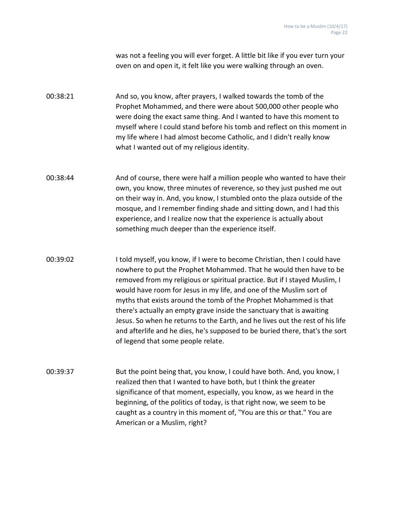was not a feeling you will ever forget. A little bit like if you ever turn your oven on and open it, it felt like you were walking through an oven.

00:38:21 And so, you know, after prayers, I walked towards the tomb of the Prophet Mohammed, and there were about 500,000 other people who were doing the exact same thing. And I wanted to have this moment to myself where I could stand before his tomb and reflect on this moment in my life where I had almost become Catholic, and I didn't really know what I wanted out of my religious identity.

00:38:44 And of course, there were half a million people who wanted to have their own, you know, three minutes of reverence, so they just pushed me out on their way in. And, you know, I stumbled onto the plaza outside of the mosque, and I remember finding shade and sitting down, and I had this experience, and I realize now that the experience is actually about something much deeper than the experience itself.

00:39:02 I told myself, you know, if I were to become Christian, then I could have nowhere to put the Prophet Mohammed. That he would then have to be removed from my religious or spiritual practice. But if I stayed Muslim, I would have room for Jesus in my life, and one of the Muslim sort of myths that exists around the tomb of the Prophet Mohammed is that there's actually an empty grave inside the sanctuary that is awaiting Jesus. So when he returns to the Earth, and he lives out the rest of his life and afterlife and he dies, he's supposed to be buried there, that's the sort of legend that some people relate.

00:39:37 But the point being that, you know, I could have both. And, you know, I realized then that I wanted to have both, but I think the greater significance of that moment, especially, you know, as we heard in the beginning, of the politics of today, is that right now, we seem to be caught as a country in this moment of, "You are this or that." You are American or a Muslim, right?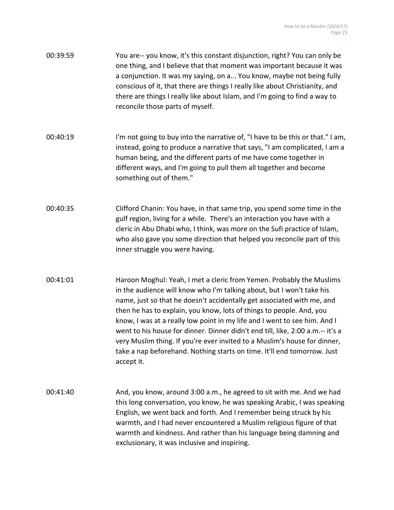| 00:39:59 | You are-- you know, it's this constant disjunction, right? You can only be   |
|----------|------------------------------------------------------------------------------|
|          | one thing, and I believe that that moment was important because it was       |
|          | a conjunction. It was my saying, on a You know, maybe not being fully        |
|          | conscious of it, that there are things I really like about Christianity, and |
|          | there are things I really like about Islam, and I'm going to find a way to   |
|          | reconcile those parts of myself.                                             |

- 00:40:19 I'm not going to buy into the narrative of, "I have to be this or that." I am, instead, going to produce a narrative that says, "I am complicated, I am a human being, and the different parts of me have come together in different ways, and I'm going to pull them all together and become something out of them."
- 00:40:35 Clifford Chanin: You have, in that same trip, you spend some time in the gulf region, living for a while. There's an interaction you have with a cleric in Abu Dhabi who, I think, was more on the Sufi practice of Islam, who also gave you some direction that helped you reconcile part of this inner struggle you were having.
- 00:41:01 Haroon Moghul: Yeah, I met a cleric from Yemen. Probably the Muslims in the audience will know who I'm talking about, but I won't take his name, just so that he doesn't accidentally get associated with me, and then he has to explain, you know, lots of things to people. And, you know, I was at a really low point in my life and I went to see him. And I went to his house for dinner. Dinner didn't end till, like, 2:00 a.m.-- it's a very Muslim thing. If you're ever invited to a Muslim's house for dinner, take a nap beforehand. Nothing starts on time. It'll end tomorrow. Just accept it.
- 00:41:40 And, you know, around 3:00 a.m., he agreed to sit with me. And we had this long conversation, you know, he was speaking Arabic, I was speaking English, we went back and forth. And I remember being struck by his warmth, and I had never encountered a Muslim religious figure of that warmth and kindness. And rather than his language being damning and exclusionary, it was inclusive and inspiring.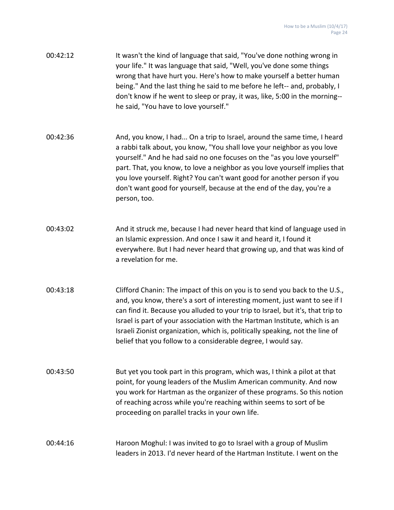- 00:42:12 It wasn't the kind of language that said, "You've done nothing wrong in your life." It was language that said, "Well, you've done some things wrong that have hurt you. Here's how to make yourself a better human being." And the last thing he said to me before he left-- and, probably, I don't know if he went to sleep or pray, it was, like, 5:00 in the morning- he said, "You have to love yourself."
- 00:42:36 And, you know, I had... On a trip to Israel, around the same time, I heard a rabbi talk about, you know, "You shall love your neighbor as you love yourself." And he had said no one focuses on the "as you love yourself" part. That, you know, to love a neighbor as you love yourself implies that you love yourself. Right? You can't want good for another person if you don't want good for yourself, because at the end of the day, you're a person, too.
- 00:43:02 And it struck me, because I had never heard that kind of language used in an Islamic expression. And once I saw it and heard it, I found it everywhere. But I had never heard that growing up, and that was kind of a revelation for me.
- 00:43:18 Clifford Chanin: The impact of this on you is to send you back to the U.S., and, you know, there's a sort of interesting moment, just want to see if I can find it. Because you alluded to your trip to Israel, but it's, that trip to Israel is part of your association with the Hartman Institute, which is an Israeli Zionist organization, which is, politically speaking, not the line of belief that you follow to a considerable degree, I would say.
- 00:43:50 But yet you took part in this program, which was, I think a pilot at that point, for young leaders of the Muslim American community. And now you work for Hartman as the organizer of these programs. So this notion of reaching across while you're reaching within seems to sort of be proceeding on parallel tracks in your own life.

## 00:44:16 Haroon Moghul: I was invited to go to Israel with a group of Muslim leaders in 2013. I'd never heard of the Hartman Institute. I went on the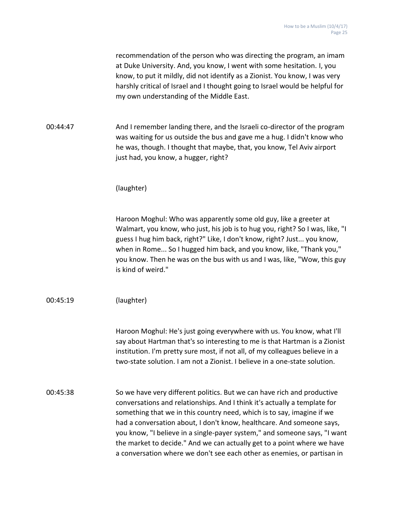recommendation of the person who was directing the program, an imam at Duke University. And, you know, I went with some hesitation. I, you know, to put it mildly, did not identify as a Zionist. You know, I was very harshly critical of Israel and I thought going to Israel would be helpful for my own understanding of the Middle East.

00:44:47 And I remember landing there, and the Israeli co-director of the program was waiting for us outside the bus and gave me a hug. I didn't know who he was, though. I thought that maybe, that, you know, Tel Aviv airport just had, you know, a hugger, right?

(laughter)

Haroon Moghul: Who was apparently some old guy, like a greeter at Walmart, you know, who just, his job is to hug you, right? So I was, like, "I guess I hug him back, right?" Like, I don't know, right? Just... you know, when in Rome... So I hugged him back, and you know, like, "Thank you," you know. Then he was on the bus with us and I was, like, "Wow, this guy is kind of weird."

00:45:19 (laughter)

Haroon Moghul: He's just going everywhere with us. You know, what I'll say about Hartman that's so interesting to me is that Hartman is a Zionist institution. I'm pretty sure most, if not all, of my colleagues believe in a two-state solution. I am not a Zionist. I believe in a one-state solution.

00:45:38 So we have very different politics. But we can have rich and productive conversations and relationships. And I think it's actually a template for something that we in this country need, which is to say, imagine if we had a conversation about, I don't know, healthcare. And someone says, you know, "I believe in a single-payer system," and someone says, "I want the market to decide." And we can actually get to a point where we have a conversation where we don't see each other as enemies, or partisan in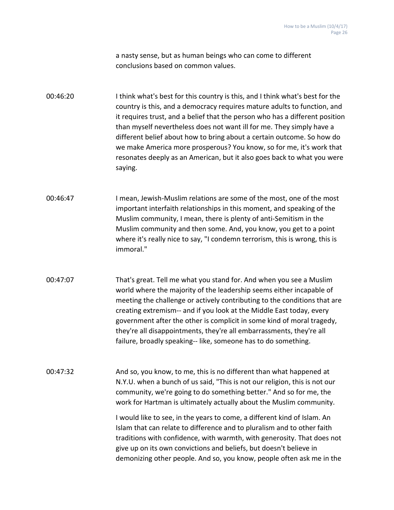a nasty sense, but as human beings who can come to different conclusions based on common values.

00:46:20 I think what's best for this country is this, and I think what's best for the country is this, and a democracy requires mature adults to function, and it requires trust, and a belief that the person who has a different position than myself nevertheless does not want ill for me. They simply have a different belief about how to bring about a certain outcome. So how do we make America more prosperous? You know, so for me, it's work that resonates deeply as an American, but it also goes back to what you were saying.

- 00:46:47 I mean, Jewish-Muslim relations are some of the most, one of the most important interfaith relationships in this moment, and speaking of the Muslim community, I mean, there is plenty of anti-Semitism in the Muslim community and then some. And, you know, you get to a point where it's really nice to say, "I condemn terrorism, this is wrong, this is immoral."
- 00:47:07 That's great. Tell me what you stand for. And when you see a Muslim world where the majority of the leadership seems either incapable of meeting the challenge or actively contributing to the conditions that are creating extremism-- and if you look at the Middle East today, every government after the other is complicit in some kind of moral tragedy, they're all disappointments, they're all embarrassments, they're all failure, broadly speaking-- like, someone has to do something.
- 00:47:32 And so, you know, to me, this is no different than what happened at N.Y.U. when a bunch of us said, "This is not our religion, this is not our community, we're going to do something better." And so for me, the work for Hartman is ultimately actually about the Muslim community.

I would like to see, in the years to come, a different kind of Islam. An Islam that can relate to difference and to pluralism and to other faith traditions with confidence, with warmth, with generosity. That does not give up on its own convictions and beliefs, but doesn't believe in demonizing other people. And so, you know, people often ask me in the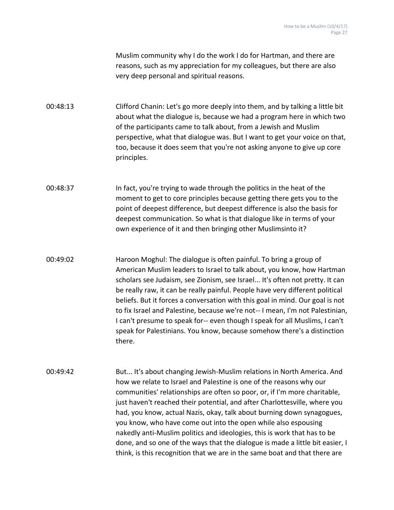Muslim community why I do the work I do for Hartman, and there are reasons, such as my appreciation for my colleagues, but there are also very deep personal and spiritual reasons.

00:48:13 Clifford Chanin: Let's go more deeply into them, and by talking a little bit about what the dialogue is, because we had a program here in which two of the participants came to talk about, from a Jewish and Muslim perspective, what that dialogue was. But I want to get your voice on that, too, because it does seem that you're not asking anyone to give up core principles.

00:48:37 In fact, you're trying to wade through the politics in the heat of the moment to get to core principles because getting there gets you to the point of deepest difference, but deepest difference is also the basis for deepest communication. So what is that dialogue like in terms of your own experience of it and then bringing other Muslimsinto it?

00:49:02 Haroon Moghul: The dialogue is often painful. To bring a group of American Muslim leaders to Israel to talk about, you know, how Hartman scholars see Judaism, see Zionism, see Israel... It's often not pretty. It can be really raw, it can be really painful. People have very different political beliefs. But it forces a conversation with this goal in mind. Our goal is not to fix Israel and Palestine, because we're not-- I mean, I'm not Palestinian, I can't presume to speak for-- even though I speak for all Muslims, I can't speak for Palestinians. You know, because somehow there's a distinction there.

00:49:42 But... It's about changing Jewish-Muslim relations in North America. And how we relate to Israel and Palestine is one of the reasons why our communities' relationships are often so poor, or, if I'm more charitable, just haven't reached their potential, and after Charlottesville, where you had, you know, actual Nazis, okay, talk about burning down synagogues, you know, who have come out into the open while also espousing nakedly anti-Muslim politics and ideologies, this is work that has to be done, and so one of the ways that the dialogue is made a little bit easier, I think, is this recognition that we are in the same boat and that there are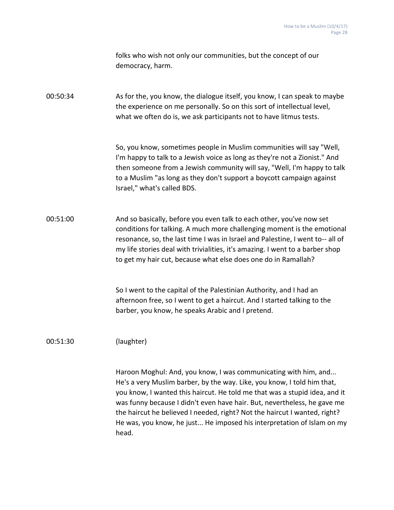folks who wish not only our communities, but the concept of our democracy, harm.

00:50:34 As for the, you know, the dialogue itself, you know, I can speak to maybe the experience on me personally. So on this sort of intellectual level, what we often do is, we ask participants not to have litmus tests.

> So, you know, sometimes people in Muslim communities will say "Well, I'm happy to talk to a Jewish voice as long as they're not a Zionist." And then someone from a Jewish community will say, "Well, I'm happy to talk to a Muslim "as long as they don't support a boycott campaign against Israel," what's called BDS.

00:51:00 And so basically, before you even talk to each other, you've now set conditions for talking. A much more challenging moment is the emotional resonance, so, the last time I was in Israel and Palestine, I went to-- all of my life stories deal with trivialities, it's amazing. I went to a barber shop to get my hair cut, because what else does one do in Ramallah?

> So I went to the capital of the Palestinian Authority, and I had an afternoon free, so I went to get a haircut. And I started talking to the barber, you know, he speaks Arabic and I pretend.

#### 00:51:30 (laughter)

Haroon Moghul: And, you know, I was communicating with him, and... He's a very Muslim barber, by the way. Like, you know, I told him that, you know, I wanted this haircut. He told me that was a stupid idea, and it was funny because I didn't even have hair. But, nevertheless, he gave me the haircut he believed I needed, right? Not the haircut I wanted, right? He was, you know, he just... He imposed his interpretation of Islam on my head.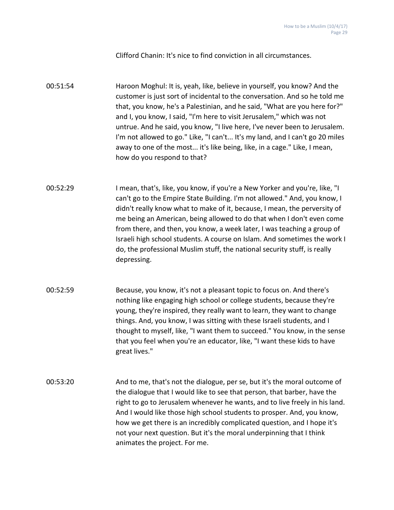Clifford Chanin: It's nice to find conviction in all circumstances.

00:51:54 Haroon Moghul: It is, yeah, like, believe in yourself, you know? And the customer is just sort of incidental to the conversation. And so he told me that, you know, he's a Palestinian, and he said, "What are you here for?" and I, you know, I said, "I'm here to visit Jerusalem," which was not untrue. And he said, you know, "I live here, I've never been to Jerusalem. I'm not allowed to go." Like, "I can't... It's my land, and I can't go 20 miles away to one of the most... it's like being, like, in a cage." Like, I mean, how do you respond to that?

- 00:52:29 I mean, that's, like, you know, if you're a New Yorker and you're, like, "I can't go to the Empire State Building. I'm not allowed." And, you know, I didn't really know what to make of it, because, I mean, the perversity of me being an American, being allowed to do that when I don't even come from there, and then, you know, a week later, I was teaching a group of Israeli high school students. A course on Islam. And sometimes the work I do, the professional Muslim stuff, the national security stuff, is really depressing.
- 00:52:59 Because, you know, it's not a pleasant topic to focus on. And there's nothing like engaging high school or college students, because they're young, they're inspired, they really want to learn, they want to change things. And, you know, I was sitting with these Israeli students, and I thought to myself, like, "I want them to succeed." You know, in the sense that you feel when you're an educator, like, "I want these kids to have great lives."
- 00:53:20 And to me, that's not the dialogue, per se, but it's the moral outcome of the dialogue that I would like to see that person, that barber, have the right to go to Jerusalem whenever he wants, and to live freely in his land. And I would like those high school students to prosper. And, you know, how we get there is an incredibly complicated question, and I hope it's not your next question. But it's the moral underpinning that I think animates the project. For me.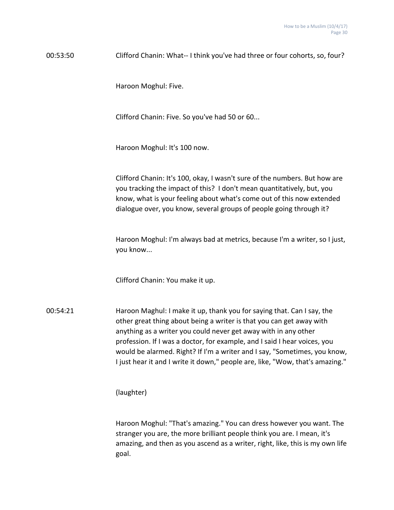00:53:50 Clifford Chanin: What-- I think you've had three or four cohorts, so, four?

Haroon Moghul: Five.

Clifford Chanin: Five. So you've had 50 or 60...

Haroon Moghul: It's 100 now.

Clifford Chanin: It's 100, okay, I wasn't sure of the numbers. But how are you tracking the impact of this? I don't mean quantitatively, but, you know, what is your feeling about what's come out of this now extended dialogue over, you know, several groups of people going through it?

Haroon Moghul: I'm always bad at metrics, because I'm a writer, so I just, you know...

Clifford Chanin: You make it up.

00:54:21 Haroon Maghul: I make it up, thank you for saying that. Can I say, the other great thing about being a writer is that you can get away with anything as a writer you could never get away with in any other profession. If I was a doctor, for example, and I said I hear voices, you would be alarmed. Right? If I'm a writer and I say, "Sometimes, you know, I just hear it and I write it down," people are, like, "Wow, that's amazing."

(laughter)

Haroon Moghul: "That's amazing." You can dress however you want. The stranger you are, the more brilliant people think you are. I mean, it's amazing, and then as you ascend as a writer, right, like, this is my own life goal.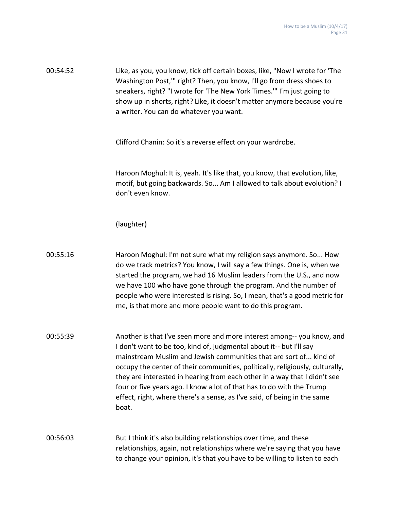00:54:52 Like, as you, you know, tick off certain boxes, like, "Now I wrote for 'The Washington Post,'" right? Then, you know, I'll go from dress shoes to sneakers, right? "I wrote for 'The New York Times.'" I'm just going to show up in shorts, right? Like, it doesn't matter anymore because you're a writer. You can do whatever you want.

Clifford Chanin: So it's a reverse effect on your wardrobe.

Haroon Moghul: It is, yeah. It's like that, you know, that evolution, like, motif, but going backwards. So... Am I allowed to talk about evolution? I don't even know.

### (laughter)

| 00:55:16 | Haroon Moghul: I'm not sure what my religion says anymore. So How          |
|----------|----------------------------------------------------------------------------|
|          | do we track metrics? You know, I will say a few things. One is, when we    |
|          | started the program, we had 16 Muslim leaders from the U.S., and now       |
|          | we have 100 who have gone through the program. And the number of           |
|          | people who were interested is rising. So, I mean, that's a good metric for |
|          | me, is that more and more people want to do this program.                  |

00:55:39 Another is that I've seen more and more interest among-- you know, and I don't want to be too, kind of, judgmental about it-- but I'll say mainstream Muslim and Jewish communities that are sort of... kind of occupy the center of their communities, politically, religiously, culturally, they are interested in hearing from each other in a way that I didn't see four or five years ago. I know a lot of that has to do with the Trump effect, right, where there's a sense, as I've said, of being in the same boat.

# 00:56:03 But I think it's also building relationships over time, and these relationships, again, not relationships where we're saying that you have to change your opinion, it's that you have to be willing to listen to each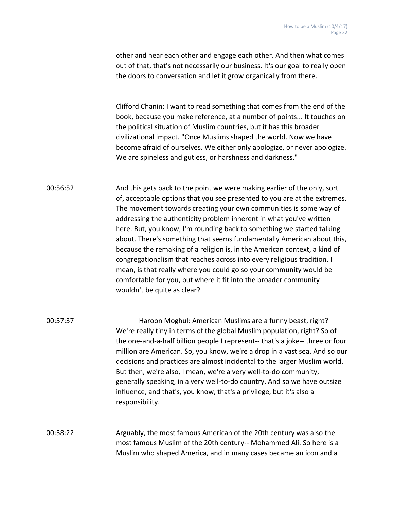other and hear each other and engage each other. And then what comes out of that, that's not necessarily our business. It's our goal to really open the doors to conversation and let it grow organically from there.

Clifford Chanin: I want to read something that comes from the end of the book, because you make reference, at a number of points... It touches on the political situation of Muslim countries, but it has this broader civilizational impact. "Once Muslims shaped the world. Now we have become afraid of ourselves. We either only apologize, or never apologize. We are spineless and gutless, or harshness and darkness."

00:56:52 And this gets back to the point we were making earlier of the only, sort of, acceptable options that you see presented to you are at the extremes. The movement towards creating your own communities is some way of addressing the authenticity problem inherent in what you've written here. But, you know, I'm rounding back to something we started talking about. There's something that seems fundamentally American about this, because the remaking of a religion is, in the American context, a kind of congregationalism that reaches across into every religious tradition. I mean, is that really where you could go so your community would be comfortable for you, but where it fit into the broader community wouldn't be quite as clear?

00:57:37 Haroon Moghul: American Muslims are a funny beast, right? We're really tiny in terms of the global Muslim population, right? So of the one-and-a-half billion people I represent-- that's a joke-- three or four million are American. So, you know, we're a drop in a vast sea. And so our decisions and practices are almost incidental to the larger Muslim world. But then, we're also, I mean, we're a very well-to-do community, generally speaking, in a very well-to-do country. And so we have outsize influence, and that's, you know, that's a privilege, but it's also a responsibility.

00:58:22 Arguably, the most famous American of the 20th century was also the most famous Muslim of the 20th century-- Mohammed Ali. So here is a Muslim who shaped America, and in many cases became an icon and a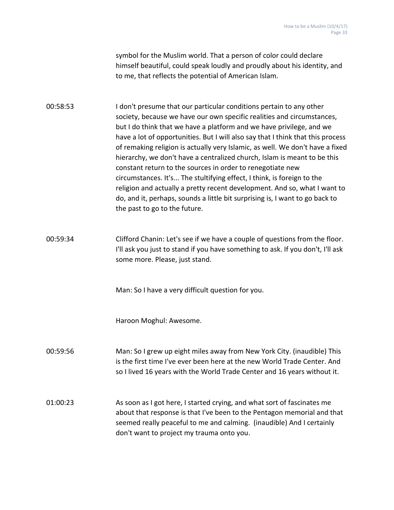symbol for the Muslim world. That a person of color could declare himself beautiful, could speak loudly and proudly about his identity, and to me, that reflects the potential of American Islam.

00:58:53 I don't presume that our particular conditions pertain to any other society, because we have our own specific realities and circumstances, but I do think that we have a platform and we have privilege, and we have a lot of opportunities. But I will also say that I think that this process of remaking religion is actually very Islamic, as well. We don't have a fixed hierarchy, we don't have a centralized church, Islam is meant to be this constant return to the sources in order to renegotiate new circumstances. It's... The stultifying effect, I think, is foreign to the religion and actually a pretty recent development. And so, what I want to do, and it, perhaps, sounds a little bit surprising is, I want to go back to the past to go to the future.

00:59:34 Clifford Chanin: Let's see if we have a couple of questions from the floor. I'll ask you just to stand if you have something to ask. If you don't, I'll ask some more. Please, just stand.

Man: So I have a very difficult question for you.

Haroon Moghul: Awesome.

00:59:56 Man: So I grew up eight miles away from New York City. (inaudible) This is the first time I've ever been here at the new World Trade Center. And so I lived 16 years with the World Trade Center and 16 years without it.

01:00:23 As soon as I got here, I started crying, and what sort of fascinates me about that response is that I've been to the Pentagon memorial and that seemed really peaceful to me and calming. (inaudible) And I certainly don't want to project my trauma onto you.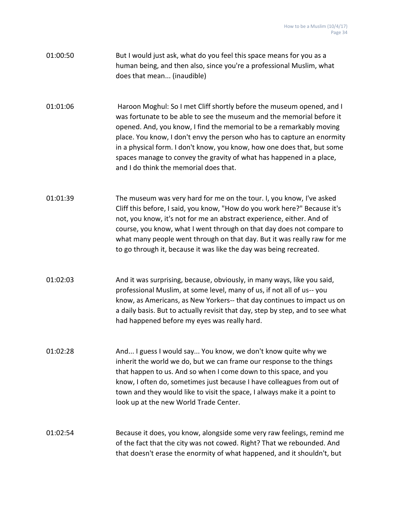01:00:50 But I would just ask, what do you feel this space means for you as a human being, and then also, since you're a professional Muslim, what does that mean... (inaudible)

01:01:06 Haroon Moghul: So I met Cliff shortly before the museum opened, and I was fortunate to be able to see the museum and the memorial before it opened. And, you know, I find the memorial to be a remarkably moving place. You know, I don't envy the person who has to capture an enormity in a physical form. I don't know, you know, how one does that, but some spaces manage to convey the gravity of what has happened in a place, and I do think the memorial does that.

01:01:39 The museum was very hard for me on the tour. I, you know, I've asked Cliff this before, I said, you know, "How do you work here?" Because it's not, you know, it's not for me an abstract experience, either. And of course, you know, what I went through on that day does not compare to what many people went through on that day. But it was really raw for me to go through it, because it was like the day was being recreated.

- 01:02:03 And it was surprising, because, obviously, in many ways, like you said, professional Muslim, at some level, many of us, if not all of us-- you know, as Americans, as New Yorkers-- that day continues to impact us on a daily basis. But to actually revisit that day, step by step, and to see what had happened before my eyes was really hard.
- 01:02:28 And... I guess I would say... You know, we don't know quite why we inherit the world we do, but we can frame our response to the things that happen to us. And so when I come down to this space, and you know, I often do, sometimes just because I have colleagues from out of town and they would like to visit the space, I always make it a point to look up at the new World Trade Center.

# 01:02:54 Because it does, you know, alongside some very raw feelings, remind me of the fact that the city was not cowed. Right? That we rebounded. And that doesn't erase the enormity of what happened, and it shouldn't, but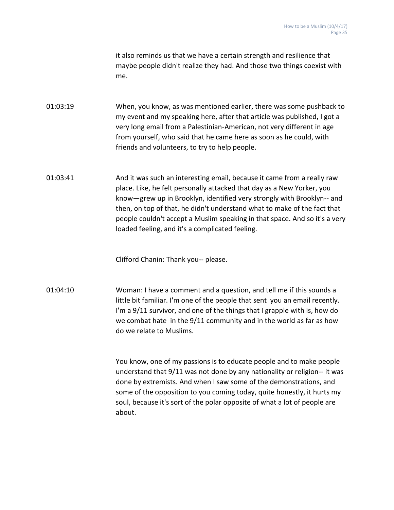it also reminds us that we have a certain strength and resilience that maybe people didn't realize they had. And those two things coexist with me.

01:03:19 When, you know, as was mentioned earlier, there was some pushback to my event and my speaking here, after that article was published, I got a very long email from a Palestinian-American, not very different in age from yourself, who said that he came here as soon as he could, with friends and volunteers, to try to help people.

01:03:41 And it was such an interesting email, because it came from a really raw place. Like, he felt personally attacked that day as a New Yorker, you know—grew up in Brooklyn, identified very strongly with Brooklyn-- and then, on top of that, he didn't understand what to make of the fact that people couldn't accept a Muslim speaking in that space. And so it's a very loaded feeling, and it's a complicated feeling.

Clifford Chanin: Thank you-- please.

01:04:10 Woman: I have a comment and a question, and tell me if this sounds a little bit familiar. I'm one of the people that sent you an email recently. I'm a 9/11 survivor, and one of the things that I grapple with is, how do we combat hate in the 9/11 community and in the world as far as how do we relate to Muslims.

> You know, one of my passions is to educate people and to make people understand that 9/11 was not done by any nationality or religion-- it was done by extremists. And when I saw some of the demonstrations, and some of the opposition to you coming today, quite honestly, it hurts my soul, because it's sort of the polar opposite of what a lot of people are about.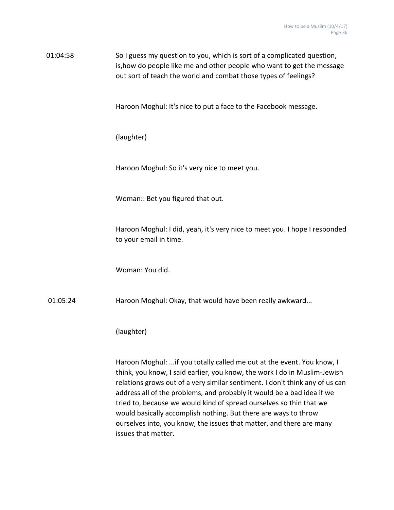01:04:58 So I guess my question to you, which is sort of a complicated question, is,how do people like me and other people who want to get the message out sort of teach the world and combat those types of feelings?

Haroon Moghul: It's nice to put a face to the Facebook message.

(laughter)

Haroon Moghul: So it's very nice to meet you.

Woman:: Bet you figured that out.

Haroon Moghul: I did, yeah, it's very nice to meet you. I hope I responded to your email in time.

Woman: You did.

01:05:24 Haroon Moghul: Okay, that would have been really awkward...

(laughter)

Haroon Moghul: ...if you totally called me out at the event. You know, I think, you know, I said earlier, you know, the work I do in Muslim-Jewish relations grows out of a very similar sentiment. I don't think any of us can address all of the problems, and probably it would be a bad idea if we tried to, because we would kind of spread ourselves so thin that we would basically accomplish nothing. But there are ways to throw ourselves into, you know, the issues that matter, and there are many issues that matter.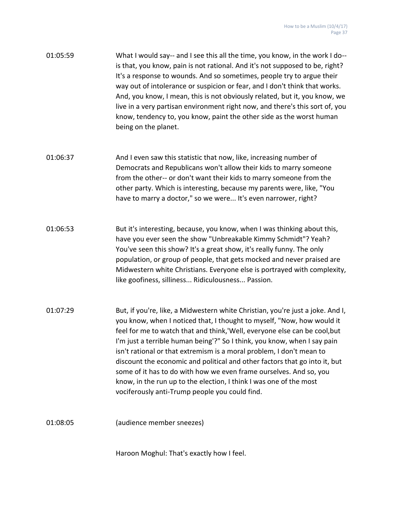| 01:05:59 | What I would say-- and I see this all the time, you know, in the work I do-- |
|----------|------------------------------------------------------------------------------|
|          | is that, you know, pain is not rational. And it's not supposed to be, right? |
|          | It's a response to wounds. And so sometimes, people try to argue their       |
|          | way out of intolerance or suspicion or fear, and I don't think that works.   |
|          | And, you know, I mean, this is not obviously related, but it, you know, we   |
|          | live in a very partisan environment right now, and there's this sort of, you |
|          | know, tendency to, you know, paint the other side as the worst human         |
|          | being on the planet.                                                         |

01:06:37 And I even saw this statistic that now, like, increasing number of Democrats and Republicans won't allow their kids to marry someone from the other-- or don't want their kids to marry someone from the other party. Which is interesting, because my parents were, like, "You have to marry a doctor," so we were... It's even narrower, right?

- 01:06:53 But it's interesting, because, you know, when I was thinking about this, have you ever seen the show "Unbreakable Kimmy Schmidt"? Yeah? You've seen this show? It's a great show, it's really funny. The only population, or group of people, that gets mocked and never praised are Midwestern white Christians. Everyone else is portrayed with complexity, like goofiness, silliness... Ridiculousness... Passion.
- 01:07:29 But, if you're, like, a Midwestern white Christian, you're just a joke. And I, you know, when I noticed that, I thought to myself, "Now, how would it feel for me to watch that and think,'Well, everyone else can be cool,but I'm just a terrible human being'?" So I think, you know, when I say pain isn't rational or that extremism is a moral problem, I don't mean to discount the economic and political and other factors that go into it, but some of it has to do with how we even frame ourselves. And so, you know, in the run up to the election, I think I was one of the most vociferously anti-Trump people you could find.

01:08:05 (audience member sneezes)

Haroon Moghul: That's exactly how I feel.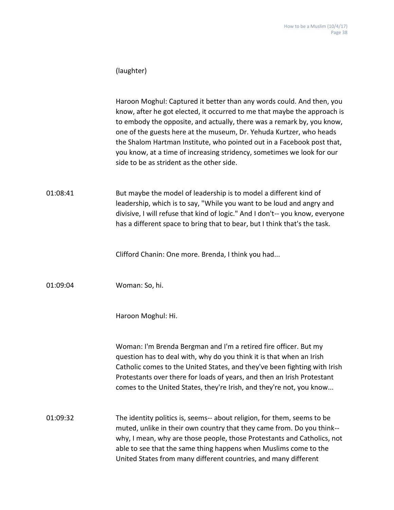### (laughter)

Haroon Moghul: Captured it better than any words could. And then, you know, after he got elected, it occurred to me that maybe the approach is to embody the opposite, and actually, there was a remark by, you know, one of the guests here at the museum, Dr. Yehuda Kurtzer, who heads the Shalom Hartman Institute, who pointed out in a Facebook post that, you know, at a time of increasing stridency, sometimes we look for our side to be as strident as the other side.

01:08:41 But maybe the model of leadership is to model a different kind of leadership, which is to say, "While you want to be loud and angry and divisive, I will refuse that kind of logic." And I don't-- you know, everyone has a different space to bring that to bear, but I think that's the task.

Clifford Chanin: One more. Brenda, I think you had...

01:09:04 Woman: So, hi.

Haroon Moghul: Hi.

Woman: I'm Brenda Bergman and I'm a retired fire officer. But my question has to deal with, why do you think it is that when an Irish Catholic comes to the United States, and they've been fighting with Irish Protestants over there for loads of years, and then an Irish Protestant comes to the United States, they're Irish, and they're not, you know...

01:09:32 The identity politics is, seems-- about religion, for them, seems to be muted, unlike in their own country that they came from. Do you think- why, I mean, why are those people, those Protestants and Catholics, not able to see that the same thing happens when Muslims come to the United States from many different countries, and many different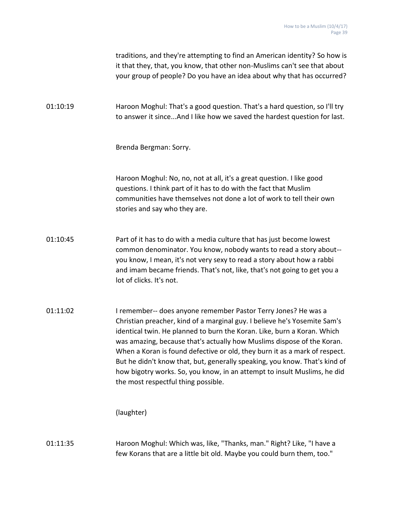|          | traditions, and they're attempting to find an American identity? So how is<br>it that they, that, you know, that other non-Muslims can't see that about<br>your group of people? Do you have an idea about why that has occurred?                                                                                                                                                                                                                                                                                                                                               |
|----------|---------------------------------------------------------------------------------------------------------------------------------------------------------------------------------------------------------------------------------------------------------------------------------------------------------------------------------------------------------------------------------------------------------------------------------------------------------------------------------------------------------------------------------------------------------------------------------|
| 01:10:19 | Haroon Moghul: That's a good question. That's a hard question, so I'll try<br>to answer it sinceAnd I like how we saved the hardest question for last.                                                                                                                                                                                                                                                                                                                                                                                                                          |
|          | Brenda Bergman: Sorry.                                                                                                                                                                                                                                                                                                                                                                                                                                                                                                                                                          |
|          | Haroon Moghul: No, no, not at all, it's a great question. I like good<br>questions. I think part of it has to do with the fact that Muslim<br>communities have themselves not done a lot of work to tell their own<br>stories and say who they are.                                                                                                                                                                                                                                                                                                                             |
| 01:10:45 | Part of it has to do with a media culture that has just become lowest<br>common denominator. You know, nobody wants to read a story about--<br>you know, I mean, it's not very sexy to read a story about how a rabbi<br>and imam became friends. That's not, like, that's not going to get you a<br>lot of clicks. It's not.                                                                                                                                                                                                                                                   |
| 01:11:02 | I remember-- does anyone remember Pastor Terry Jones? He was a<br>Christian preacher, kind of a marginal guy. I believe he's Yosemite Sam's<br>identical twin. He planned to burn the Koran. Like, burn a Koran. Which<br>was amazing, because that's actually how Muslims dispose of the Koran.<br>When a Koran is found defective or old, they burn it as a mark of respect.<br>But he didn't know that, but, generally speaking, you know. That's kind of<br>how bigotry works. So, you know, in an attempt to insult Muslims, he did<br>the most respectful thing possible. |
|          | (laughter)                                                                                                                                                                                                                                                                                                                                                                                                                                                                                                                                                                      |
| 01:11:35 | Haroon Moghul: Which was, like, "Thanks, man." Right? Like, "I have a<br>few Korans that are a little bit old. Maybe you could burn them, too."                                                                                                                                                                                                                                                                                                                                                                                                                                 |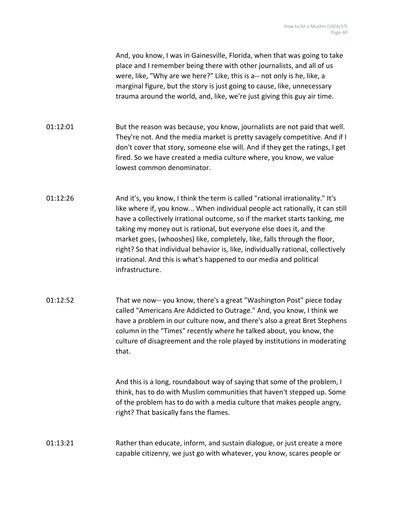And, you know, I was in Gainesville, Florida, when that was going to take place and I remember being there with other journalists, and all of us were, like, "Why are we here?" Like, this is a-- not only is he, like, a marginal figure, but the story is just going to cause, like, unnecessary trauma around the world, and, like, we're just giving this guy air time.

- 01:12:01 But the reason was because, you know, journalists are not paid that well. They're not. And the media market is pretty savagely competitive. And if I don't cover that story, someone else will. And if they get the ratings, I get fired. So we have created a media culture where, you know, we value lowest common denominator.
- 01:12:26 And it's, you know, I think the term is called "rational irrationality." It's like where if, you know... When individual people act rationally, it can still have a collectively irrational outcome, so if the market starts tanking, me taking my money out is rational, but everyone else does it, and the market goes, (whooshes) like, completely, like, falls through the floor, right? So that individual behavior is, like, individually rational, collectively irrational. And this is what's happened to our media and political infrastructure.
- 01:12:52 That we now-- you know, there's a great "Washington Post" piece today called "Americans Are Addicted to Outrage." And, you know, I think we have a problem in our culture now, and there's also a great Bret Stephens column in the "Times" recently where he talked about, you know, the culture of disagreement and the role played by institutions in moderating that.

And this is a long, roundabout way of saying that some of the problem, I think, has to do with Muslim communities that haven't stepped up. Some of the problem has to do with a media culture that makes people angry, right? That basically fans the flames.

01:13:21 Rather than educate, inform, and sustain dialogue, or just create a more capable citizenry, we just go with whatever, you know, scares people or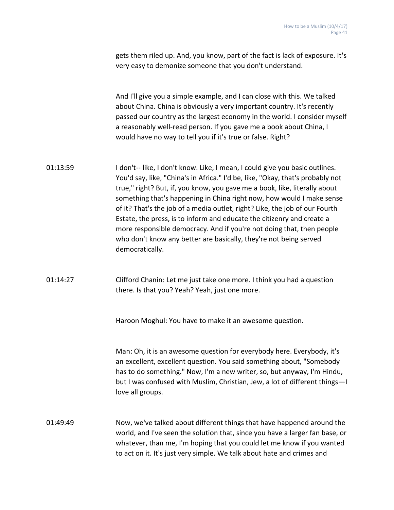|          | gets them riled up. And, you know, part of the fact is lack of exposure. It's<br>very easy to demonize someone that you don't understand.                                                                                                                                                                                                                                                                                                                                                                                                                                                                                                       |
|----------|-------------------------------------------------------------------------------------------------------------------------------------------------------------------------------------------------------------------------------------------------------------------------------------------------------------------------------------------------------------------------------------------------------------------------------------------------------------------------------------------------------------------------------------------------------------------------------------------------------------------------------------------------|
|          | And I'll give you a simple example, and I can close with this. We talked<br>about China. China is obviously a very important country. It's recently<br>passed our country as the largest economy in the world. I consider myself<br>a reasonably well-read person. If you gave me a book about China, I<br>would have no way to tell you if it's true or false. Right?                                                                                                                                                                                                                                                                          |
| 01:13:59 | I don't-- like, I don't know. Like, I mean, I could give you basic outlines.<br>You'd say, like, "China's in Africa." I'd be, like, "Okay, that's probably not<br>true," right? But, if, you know, you gave me a book, like, literally about<br>something that's happening in China right now, how would I make sense<br>of it? That's the job of a media outlet, right? Like, the job of our Fourth<br>Estate, the press, is to inform and educate the citizenry and create a<br>more responsible democracy. And if you're not doing that, then people<br>who don't know any better are basically, they're not being served<br>democratically. |
| 01:14:27 | Clifford Chanin: Let me just take one more. I think you had a question<br>there. Is that you? Yeah? Yeah, just one more.                                                                                                                                                                                                                                                                                                                                                                                                                                                                                                                        |
|          | Haroon Moghul: You have to make it an awesome question.                                                                                                                                                                                                                                                                                                                                                                                                                                                                                                                                                                                         |
|          | Man: Oh, it is an awesome question for everybody here. Everybody, it's<br>an excellent, excellent question. You said something about, "Somebody<br>has to do something." Now, I'm a new writer, so, but anyway, I'm Hindu,<br>but I was confused with Muslim, Christian, Jew, a lot of different things-I<br>love all groups.                                                                                                                                                                                                                                                                                                                   |
| 01:49:49 | Now, we've talked about different things that have happened around the<br>world, and I've seen the solution that, since you have a larger fan base, or<br>whatever, than me, I'm hoping that you could let me know if you wanted<br>to act on it. It's just very simple. We talk about hate and crimes and                                                                                                                                                                                                                                                                                                                                      |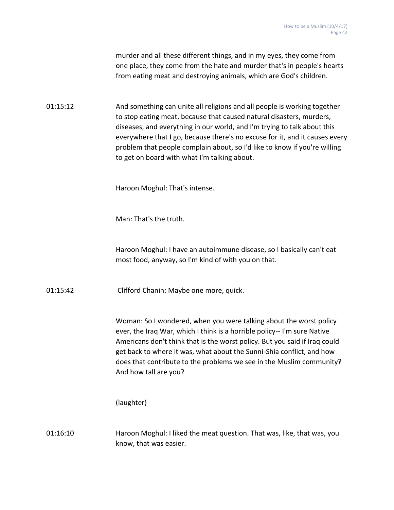murder and all these different things, and in my eyes, they come from one place, they come from the hate and murder that's in people's hearts from eating meat and destroying animals, which are God's children.

01:15:12 And something can unite all religions and all people is working together to stop eating meat, because that caused natural disasters, murders, diseases, and everything in our world, and I'm trying to talk about this everywhere that I go, because there's no excuse for it, and it causes every problem that people complain about, so I'd like to know if you're willing to get on board with what I'm talking about.

Haroon Moghul: That's intense.

Man: That's the truth.

Haroon Moghul: I have an autoimmune disease, so I basically can't eat most food, anyway, so I'm kind of with you on that.

01:15:42 Clifford Chanin: Maybe one more, quick.

Woman: So I wondered, when you were talking about the worst policy ever, the Iraq War, which I think is a horrible policy-- I'm sure Native Americans don't think that is the worst policy. But you said if Iraq could get back to where it was, what about the Sunni-Shia conflict, and how does that contribute to the problems we see in the Muslim community? And how tall are you?

(laughter)

01:16:10 Haroon Moghul: I liked the meat question. That was, like, that was, you know, that was easier.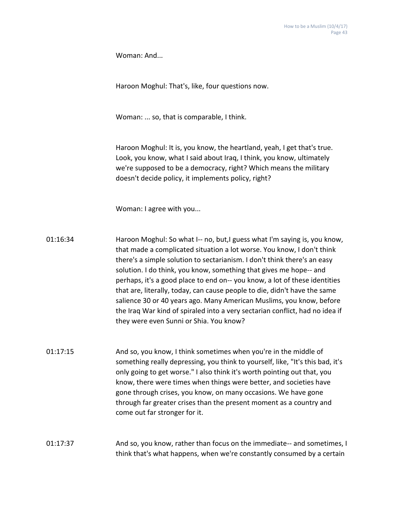Woman: And...

Haroon Moghul: That's, like, four questions now.

Woman: ... so, that is comparable, I think.

Haroon Moghul: It is, you know, the heartland, yeah, I get that's true. Look, you know, what I said about Iraq, I think, you know, ultimately we're supposed to be a democracy, right? Which means the military doesn't decide policy, it implements policy, right?

Woman: I agree with you...

- 01:16:34 Haroon Moghul: So what I-- no, but,I guess what I'm saying is, you know, that made a complicated situation a lot worse. You know, I don't think there's a simple solution to sectarianism. I don't think there's an easy solution. I do think, you know, something that gives me hope-- and perhaps, it's a good place to end on-- you know, a lot of these identities that are, literally, today, can cause people to die, didn't have the same salience 30 or 40 years ago. Many American Muslims, you know, before the Iraq War kind of spiraled into a very sectarian conflict, had no idea if they were even Sunni or Shia. You know?
- 01:17:15 And so, you know, I think sometimes when you're in the middle of something really depressing, you think to yourself, like, "It's this bad, it's only going to get worse." I also think it's worth pointing out that, you know, there were times when things were better, and societies have gone through crises, you know, on many occasions. We have gone through far greater crises than the present moment as a country and come out far stronger for it.

01:17:37 And so, you know, rather than focus on the immediate-- and sometimes, I think that's what happens, when we're constantly consumed by a certain